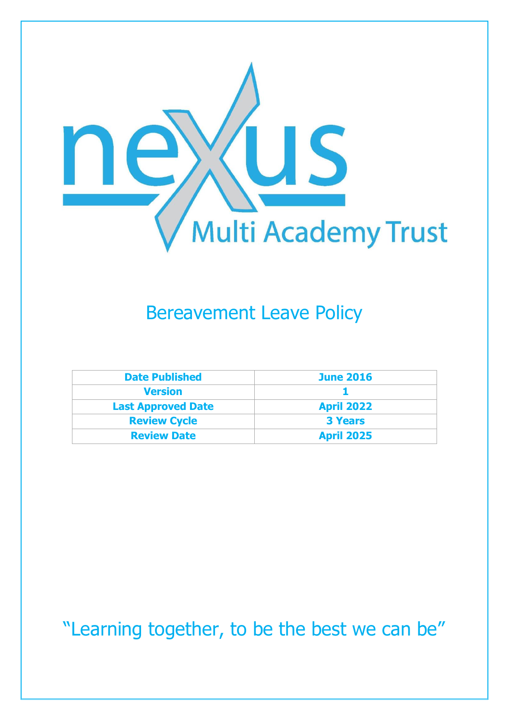

## Bereavement Leave Policy

| <b>Date Published</b>     | <b>June 2016</b>  |
|---------------------------|-------------------|
| <b>Version</b>            |                   |
| <b>Last Approved Date</b> | <b>April 2022</b> |
| <b>Review Cycle</b>       | <b>3 Years</b>    |
| <b>Review Date</b>        | <b>April 2025</b> |

"Learning together, to be the best we can be"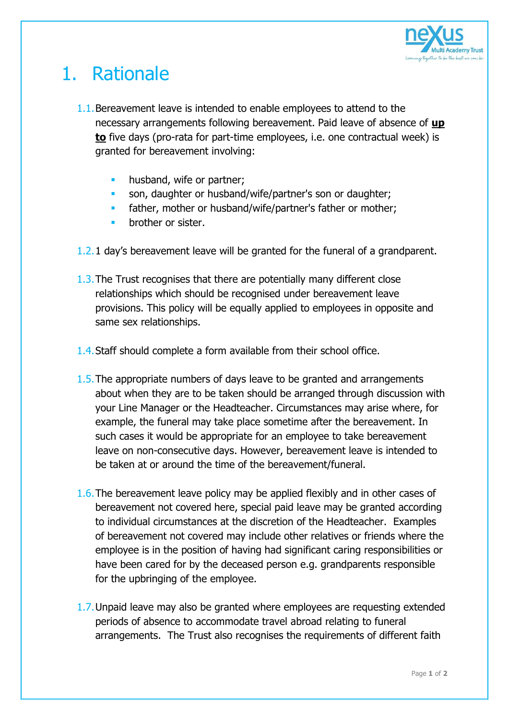

## 1. Rationale

- 1.1.Bereavement leave is intended to enable employees to attend to the necessary arrangements following bereavement. Paid leave of absence of **up to** five days (pro-rata for part-time employees, i.e. one contractual week) is granted for bereavement involving:
	- **husband, wife or partner;**
	- son, daughter or husband/wife/partner's son or daughter;
	- father, mother or husband/wife/partner's father or mother;
	- brother or sister.
- 1.2.1 day's bereavement leave will be granted for the funeral of a grandparent.
- 1.3.The Trust recognises that there are potentially many different close relationships which should be recognised under bereavement leave provisions. This policy will be equally applied to employees in opposite and same sex relationships.
- 1.4.Staff should complete a form available from their school office.
- 1.5.The appropriate numbers of days leave to be granted and arrangements about when they are to be taken should be arranged through discussion with your Line Manager or the Headteacher. Circumstances may arise where, for example, the funeral may take place sometime after the bereavement. In such cases it would be appropriate for an employee to take bereavement leave on non-consecutive days. However, bereavement leave is intended to be taken at or around the time of the bereavement/funeral.
- 1.6.The bereavement leave policy may be applied flexibly and in other cases of bereavement not covered here, special paid leave may be granted according to individual circumstances at the discretion of the Headteacher. Examples of bereavement not covered may include other relatives or friends where the employee is in the position of having had significant caring responsibilities or have been cared for by the deceased person e.g. grandparents responsible for the upbringing of the employee.
- 1.7.Unpaid leave may also be granted where employees are requesting extended periods of absence to accommodate travel abroad relating to funeral arrangements. The Trust also recognises the requirements of different faith